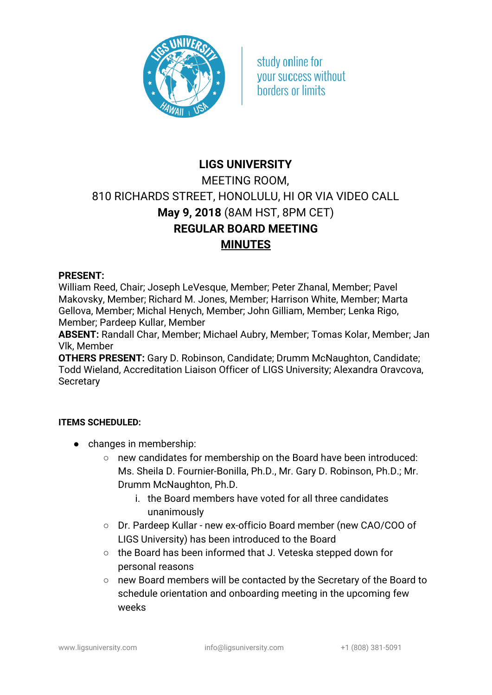

study online for **vour success without** horders or limits

## **LIGS UNIVERSITY** MEETING ROOM, 810 RICHARDS STREET, HONOLULU, HI OR VIA VIDEO CALL **May 9, 2018** (8AM HST, 8PM CET) **REGULAR BOARD MEETING MINUTES**

## **PRESENT:**

William Reed, Chair; Joseph LeVesque, Member; Peter Zhanal, Member; Pavel Makovsky, Member; Richard M. Jones, Member; Harrison White, Member; Marta Gellova, Member; Michal Henych, Member; John Gilliam, Member; Lenka Rigo, Member; Pardeep Kullar, Member

**ABSENT:** Randall Char, Member; Michael Aubry, Member; Tomas Kolar, Member; Jan Vlk, Member

**OTHERS PRESENT:** Gary D. Robinson, Candidate; Drumm McNaughton, Candidate; Todd Wieland, Accreditation Liaison Officer of LIGS University; Alexandra Oravcova, **Secretary** 

## **ITEMS SCHEDULED:**

- changes in membership:
	- new candidates for membership on the Board have been introduced: Ms. Sheila D. Fournier-Bonilla, Ph.D., Mr. Gary D. Robinson, Ph.D.; Mr. Drumm McNaughton, Ph.D.
		- i. the Board members have voted for all three candidates unanimously
	- Dr. Pardeep Kullar new ex-officio Board member (new CAO/COO of LIGS University) has been introduced to the Board
	- the Board has been informed that J. Veteska stepped down for personal reasons
	- new Board members will be contacted by the Secretary of the Board to schedule orientation and onboarding meeting in the upcoming few weeks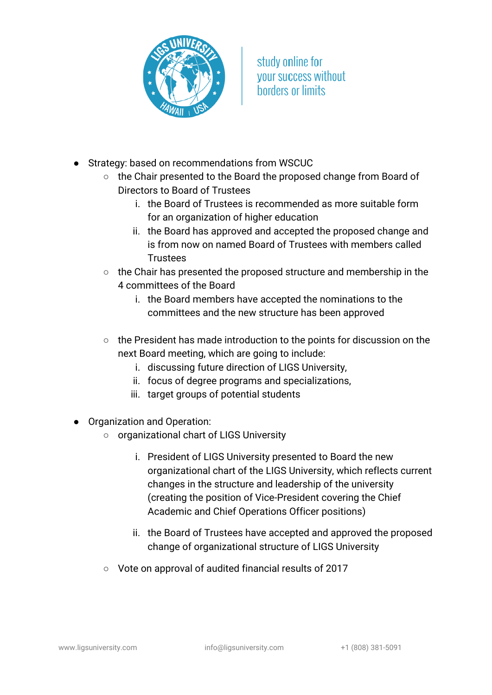

- Strategy: based on recommendations from WSCUC
	- the Chair presented to the Board the proposed change from Board of Directors to Board of Trustees
		- i. the Board of Trustees is recommended as more suitable form for an organization of higher education
		- ii. the Board has approved and accepted the proposed change and is from now on named Board of Trustees with members called **Trustees**
	- the Chair has presented the proposed structure and membership in the 4 committees of the Board
		- i. the Board members have accepted the nominations to the committees and the new structure has been approved
	- the President has made introduction to the points for discussion on the next Board meeting, which are going to include:
		- i. discussing future direction of LIGS University,
		- ii. focus of degree programs and specializations,
		- iii. target groups of potential students
- Organization and Operation:
	- organizational chart of LIGS University
		- i. President of LIGS University presented to Board the new organizational chart of the LIGS University, which reflects current changes in the structure and leadership of the university (creating the position of Vice-President covering the Chief Academic and Chief Operations Officer positions)
		- ii. the Board of Trustees have accepted and approved the proposed change of organizational structure of LIGS University
	- Vote on approval of audited financial results of 2017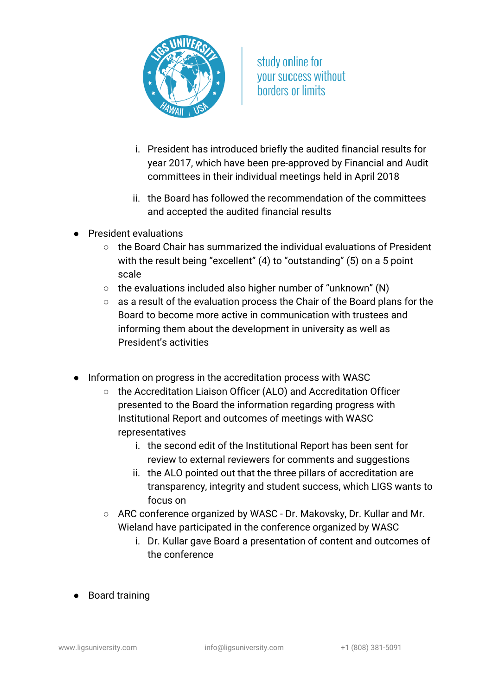

- i. President has introduced briefly the audited financial results for year 2017, which have been pre-approved by Financial and Audit committees in their individual meetings held in April 2018
- ii. the Board has followed the recommendation of the committees and accepted the audited financial results
- President evaluations
	- the Board Chair has summarized the individual evaluations of President with the result being "excellent" (4) to "outstanding" (5) on a 5 point scale
	- $\circ$  the evaluations included also higher number of "unknown" (N)
	- as a result of the evaluation process the Chair of the Board plans for the Board to become more active in communication with trustees and informing them about the development in university as well as President's activities
- Information on progress in the accreditation process with WASC
	- the Accreditation Liaison Officer (ALO) and Accreditation Officer presented to the Board the information regarding progress with Institutional Report and outcomes of meetings with WASC representatives
		- i. the second edit of the Institutional Report has been sent for review to external reviewers for comments and suggestions
		- ii. the ALO pointed out that the three pillars of accreditation are transparency, integrity and student success, which LIGS wants to focus on
	- ARC conference organized by WASC Dr. Makovsky, Dr. Kullar and Mr. Wieland have participated in the conference organized by WASC
		- i. Dr. Kullar gave Board a presentation of content and outcomes of the conference
- Board training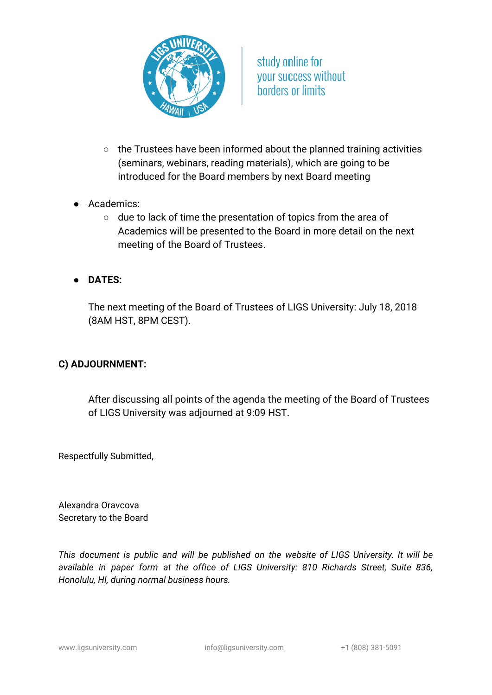

- the Trustees have been informed about the planned training activities (seminars, webinars, reading materials), which are going to be introduced for the Board members by next Board meeting
- Academics:
	- due to lack of time the presentation of topics from the area of Academics will be presented to the Board in more detail on the next meeting of the Board of Trustees.
- **DATES:**

The next meeting of the Board of Trustees of LIGS University: July 18, 2018 (8AM HST, 8PM CEST).

## **C) ADJOURNMENT:**

After discussing all points of the agenda the meeting of the Board of Trustees of LIGS University was adjourned at 9:09 HST.

Respectfully Submitted,

Alexandra Oravcova Secretary to the Board

*This document is public and will be published on the website of LIGS University. It will be available in paper form at the office of LIGS University: 810 Richards Street, Suite 836, Honolulu, HI, during normal business hours.*